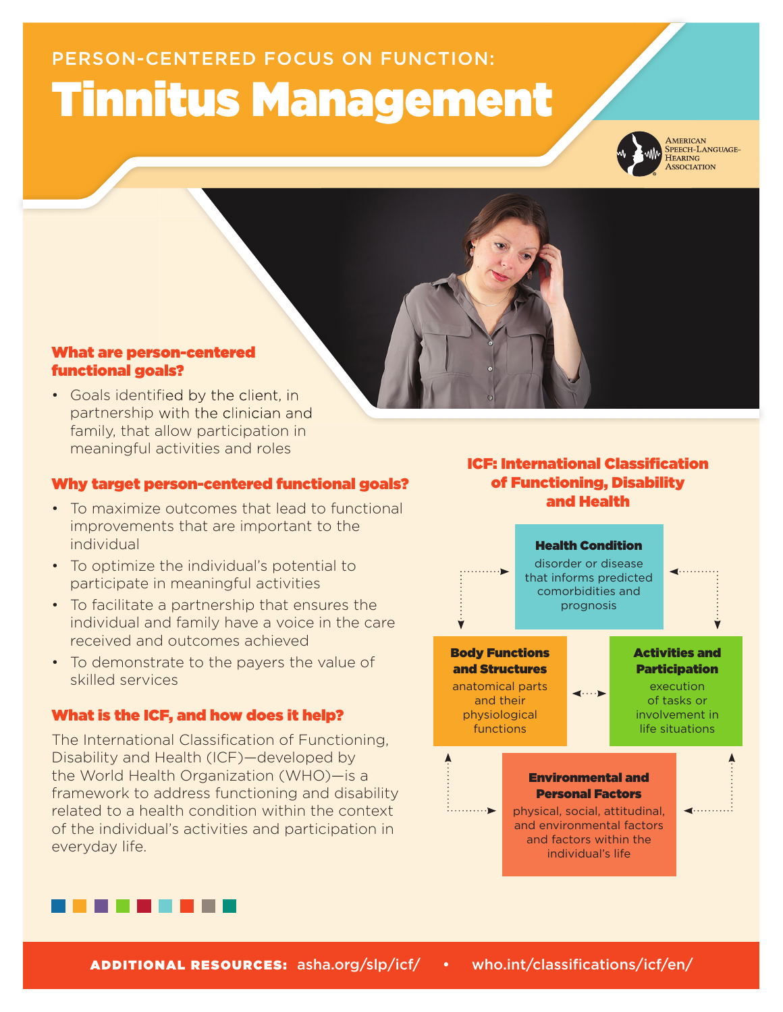# PERSON-CENTERED FOCUS ON FUNCTION: Tinnitus Management



AMERICAN<br>SPEECH-LANGUAGE-HEARING<br>ASSOCIATION

# What are person-centered functional goals?

• Goals identified by the client, in partnership with the clinician and family, that allow participation in meaningful activities and roles

# Why target person-centered functional goals?

- To maximize outcomes that lead to functional improvements that are important to the individual
- To optimize the individual's potential to participate in meaningful activities
- To facilitate a partnership that ensures the individual and family have a voice in the care received and outcomes achieved
- To demonstrate to the payers the value of skilled services

# What is the ICF, and how does it help?

The International Classification of Functioning, Disability and Health (ICF)—developed by the World Health Organization (WHO)—is a framework to address functioning and disability related to a health condition within the context of the individual's activities and participation in everyday life.

# **ICF: International Classification** of Functioning, Disability and Health